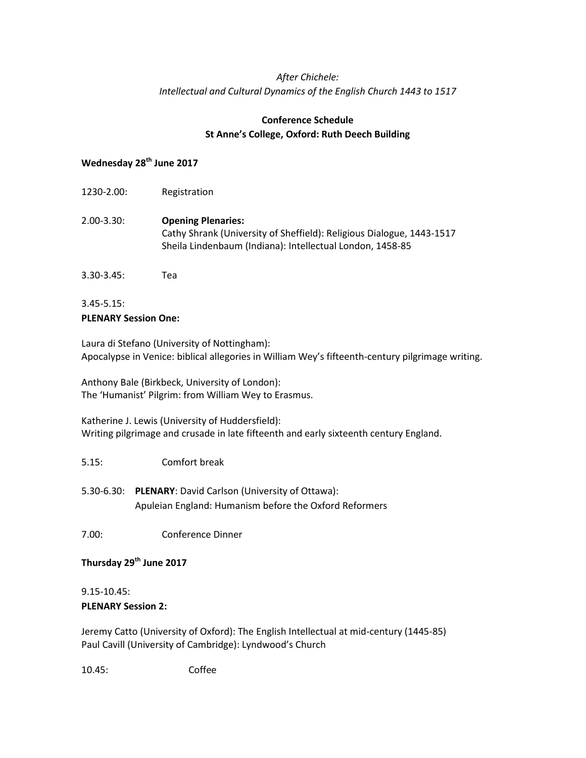# *After Chichele: Intellectual and Cultural Dynamics of the English Church 1443 to 1517*

## **Conference Schedule St Anne's College, Oxford: Ruth Deech Building**

# **Wednesday 28th June 2017**

- 1230-2.00: Registration 2.00-3.30: **Opening Plenaries:** Cathy Shrank (University of Sheffield): Religious Dialogue, 1443-1517 Sheila Lindenbaum (Indiana): Intellectual London, 1458-85
- 3.30-3.45: Tea

#### 3.45-5.15: **PLENARY Session One:**

Laura di Stefano (University of Nottingham): Apocalypse in Venice: biblical allegories in William Wey's fifteenth-century pilgrimage writing.

Anthony Bale (Birkbeck, University of London): The 'Humanist' Pilgrim: from William Wey to Erasmus.

Katherine J. Lewis (University of Huddersfield): Writing pilgrimage and crusade in late fifteenth and early sixteenth century England.

### 5.15: Comfort break

5.30-6.30: **PLENARY**: David Carlson (University of Ottawa): Apuleian England: Humanism before the Oxford Reformers

7.00: Conference Dinner

### **Thursday 29th June 2017**

#### 9.15-10.45: **PLENARY Session 2:**

Jeremy Catto (University of Oxford): The English Intellectual at mid-century (1445-85) Paul Cavill (University of Cambridge): Lyndwood's Church

10.45: Coffee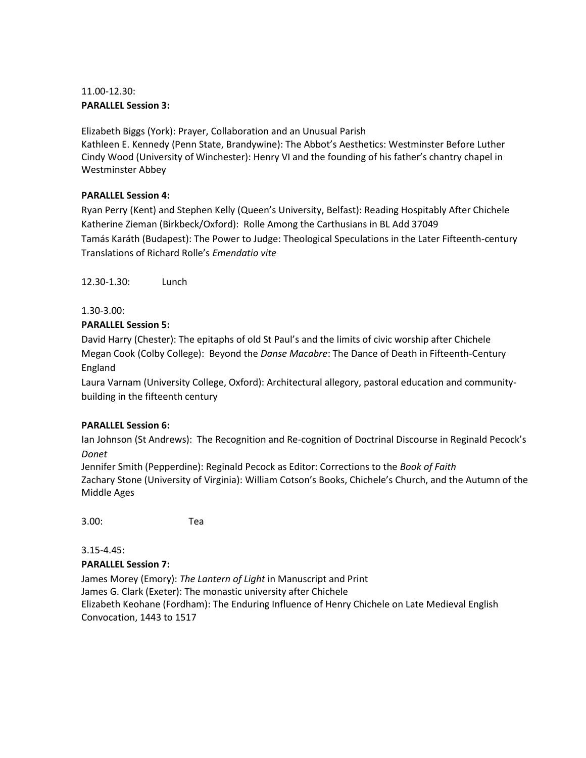# 11.00-12.30: **PARALLEL Session 3:**

Elizabeth Biggs (York): Prayer, Collaboration and an Unusual Parish Kathleen E. Kennedy (Penn State, Brandywine): The Abbot's Aesthetics: Westminster Before Luther Cindy Wood (University of Winchester): Henry VI and the founding of his father's chantry chapel in Westminster Abbey

## **PARALLEL Session 4:**

Ryan Perry (Kent) and Stephen Kelly (Queen's University, Belfast): Reading Hospitably After Chichele Katherine Zieman (Birkbeck/Oxford): Rolle Among the Carthusians in BL Add 37049 Tamás Karáth (Budapest): The Power to Judge: Theological Speculations in the Later Fifteenth-century Translations of Richard Rolle's *Emendatio vite*

12.30-1.30: Lunch

1.30-3.00:

### **PARALLEL Session 5:**

David Harry (Chester): The epitaphs of old St Paul's and the limits of civic worship after Chichele Megan Cook (Colby College): Beyond the *Danse Macabre*: The Dance of Death in Fifteenth-Century England

Laura Varnam (University College, Oxford): Architectural allegory, pastoral education and communitybuilding in the fifteenth century

# **PARALLEL Session 6:**

Ian Johnson (St Andrews): The Recognition and Re-cognition of Doctrinal Discourse in Reginald Pecock's *Donet*

Jennifer Smith (Pepperdine): Reginald Pecock as Editor: Corrections to the *Book of Faith* Zachary Stone (University of Virginia): William Cotson's Books, Chichele's Church, and the Autumn of the Middle Ages

3.00: Tea

3.15-4.45:

# **PARALLEL Session 7:**

James Morey (Emory): *The Lantern of Light* in Manuscript and Print James G. Clark (Exeter): The monastic university after Chichele Elizabeth Keohane (Fordham): The Enduring Influence of Henry Chichele on Late Medieval English Convocation, 1443 to 1517